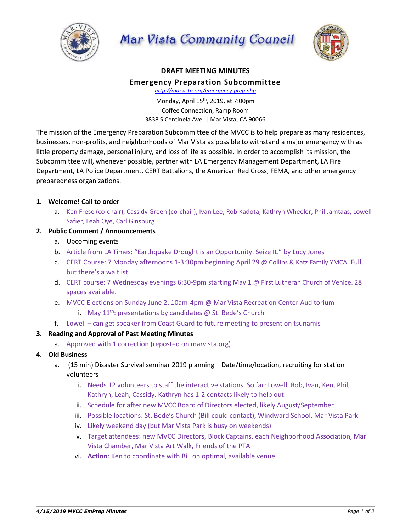

Mar Vista Community Council



### **DRAFT MEETING MINUTES**

#### **Emergency Preparation Subcommittee**

*http://marvista.org/emergency-prep.php*

Monday, April 15th, 2019, at 7:00pm Coffee Connection, Ramp Room 3838 S Centinela Ave. | Mar Vista, CA 90066

The mission of the Emergency Preparation Subcommittee of the MVCC is to help prepare as many residences, businesses, non-profits, and neighborhoods of Mar Vista as possible to withstand a major emergency with as little property damage, personal injury, and loss of life as possible. In order to accomplish its mission, the Subcommittee will, whenever possible, partner with LA Emergency Management Department, LA Fire Department, LA Police Department, CERT Battalions, the American Red Cross, FEMA, and other emergency preparedness organizations.

## **1. Welcome! Call to order**

a. Ken Frese (co-chair), Cassidy Green (co-chair), Ivan Lee, Rob Kadota, Kathryn Wheeler, Phil Jamtaas, Lowell Safier, Leah Oye, Carl Ginsburg

## **2. Public Comment / Announcements**

- a. Upcoming events
- b. Article from LA Times: "Earthquake Drought is an Opportunity. Seize It." by Lucy Jones
- c. CERT Course: 7 Monday afternoons 1-3:30pm beginning April 29 @ Collins & Katz Family YMCA. Full, but there's a waitlist.
- d. CERT course: 7 Wednesday evenings 6:30-9pm starting May 1 @ First Lutheran Church of Venice. 28 spaces available.
- e. MVCC Elections on Sunday June 2, 10am-4pm @ Mar Vista Recreation Center Auditorium
	- i. May  $11^{th}$ : presentations by candidates @ St. Bede's Church
- f. Lowell can get speaker from Coast Guard to future meeting to present on tsunamis

# **3. Reading and Approval of Past Meeting Minutes**

- a. Approved with 1 correction (reposted on marvista.org)
- **4. Old Business**
	- a. (15 min) Disaster Survival seminar 2019 planning Date/time/location, recruiting for station volunteers
		- i. Needs 12 volunteers to staff the interactive stations. So far: Lowell, Rob, Ivan, Ken, Phil, Kathryn, Leah, Cassidy. Kathryn has 1-2 contacts likely to help out.
		- ii. Schedule for after new MVCC Board of Directors elected, likely August/September
		- iii. Possible locations: St. Bede's Church (Bill could contact), Windward School, Mar Vista Park
		- iv. Likely weekend day (but Mar Vista Park is busy on weekends)
		- v. Target attendees: new MVCC Directors, Block Captains, each Neighborhood Association, Mar Vista Chamber, Mar Vista Art Walk, Friends of the PTA
		- vi. **Action**: Ken to coordinate with Bill on optimal, available venue